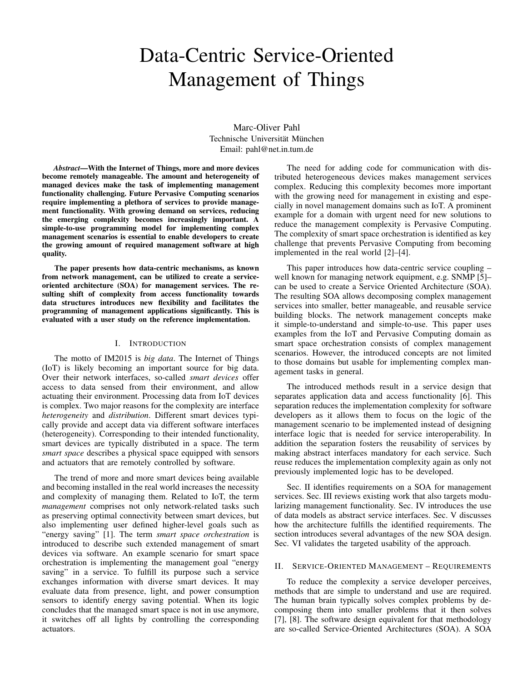# Data-Centric Service-Oriented Management of Things

Marc-Oliver Pahl Technische Universität München Email: pahl@net.in.tum.de

*Abstract*—With the Internet of Things, more and more devices become remotely manageable. The amount and heterogeneity of managed devices make the task of implementing management functionality challenging. Future Pervasive Computing scenarios require implementing a plethora of services to provide management functionality. With growing demand on services, reducing the emerging complexity becomes increasingly important. A simple-to-use programming model for implementing complex management scenarios is essential to enable developers to create the growing amount of required management software at high quality.

The paper presents how data-centric mechanisms, as known from network management, can be utilized to create a serviceoriented architecture (SOA) for management services. The resulting shift of complexity from access functionality towards data structures introduces new flexibility and facilitates the programming of management applications significantly. This is evaluated with a user study on the reference implementation.

## I. INTRODUCTION

The motto of IM2015 is *big data*. The Internet of Things (IoT) is likely becoming an important source for big data. Over their network interfaces, so-called *smart devices* offer access to data sensed from their environment, and allow actuating their environment. Processing data from IoT devices is complex. Two major reasons for the complexity are interface *heterogeneity* and *distribution*. Different smart devices typically provide and accept data via different software interfaces (heterogeneity). Corresponding to their intended functionality, smart devices are typically distributed in a space. The term *smart space* describes a physical space equipped with sensors and actuators that are remotely controlled by software.

The trend of more and more smart devices being available and becoming installed in the real world increases the necessity and complexity of managing them. Related to IoT, the term *management* comprises not only network-related tasks such as preserving optimal connectivity between smart devices, but also implementing user defined higher-level goals such as "energy saving" [1]. The term *smart space orchestration* is introduced to describe such extended management of smart devices via software. An example scenario for smart space orchestration is implementing the management goal "energy saving" in a service. To fulfill its purpose such a service exchanges information with diverse smart devices. It may evaluate data from presence, light, and power consumption sensors to identify energy saving potential. When its logic concludes that the managed smart space is not in use anymore, it switches off all lights by controlling the corresponding actuators.

The need for adding code for communication with distributed heterogeneous devices makes management services complex. Reducing this complexity becomes more important with the growing need for management in existing and especially in novel management domains such as IoT. A prominent example for a domain with urgent need for new solutions to reduce the management complexity is Pervasive Computing. The complexity of smart space orchestration is identified as key challenge that prevents Pervasive Computing from becoming implemented in the real world [2]–[4].

This paper introduces how data-centric service coupling – well known for managing network equipment, e.g. SNMP [5]– can be used to create a Service Oriented Architecture (SOA). The resulting SOA allows decomposing complex management services into smaller, better manageable, and reusable service building blocks. The network management concepts make it simple-to-understand and simple-to-use. This paper uses examples from the IoT and Pervasive Computing domain as smart space orchestration consists of complex management scenarios. However, the introduced concepts are not limited to those domains but usable for implementing complex management tasks in general.

The introduced methods result in a service design that separates application data and access functionality [6]. This separation reduces the implementation complexity for software developers as it allows them to focus on the logic of the management scenario to be implemented instead of designing interface logic that is needed for service interoperability. In addition the separation fosters the reusability of services by making abstract interfaces mandatory for each service. Such reuse reduces the implementation complexity again as only not previously implemented logic has to be developed.

Sec. II identifies requirements on a SOA for management services. Sec. III reviews existing work that also targets modularizing management functionality. Sec. IV introduces the use of data models as abstract service interfaces. Sec. V discusses how the architecture fulfills the identified requirements. The section introduces several advantages of the new SOA design. Sec. VI validates the targeted usability of the approach.

## II. SERVICE-ORIENTED MANAGEMENT – REQUIREMENTS

To reduce the complexity a service developer perceives, methods that are simple to understand and use are required. The human brain typically solves complex problems by decomposing them into smaller problems that it then solves [7], [8]. The software design equivalent for that methodology are so-called Service-Oriented Architectures (SOA). A SOA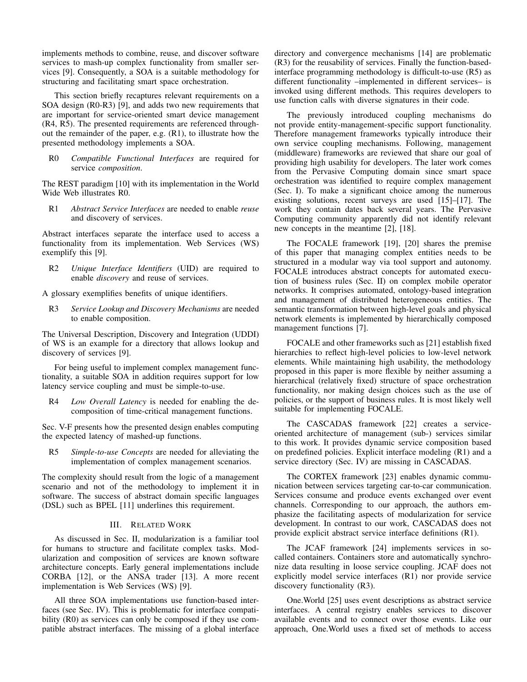implements methods to combine, reuse, and discover software services to mash-up complex functionality from smaller services [9]. Consequently, a SOA is a suitable methodology for structuring and facilitating smart space orchestration.

This section briefly recaptures relevant requirements on a SOA design (R0-R3) [9], and adds two new requirements that are important for service-oriented smart device management (R4, R5). The presented requirements are referenced throughout the remainder of the paper, e.g.  $(R1)$ , to illustrate how the presented methodology implements a SOA.

R0 *Compatible Functional Interfaces* are required for service *composition*.

The REST paradigm [10] with its implementation in the World Wide Web illustrates R0.

R1 *Abstract Service Interfaces* are needed to enable *reuse* and discovery of services.

Abstract interfaces separate the interface used to access a functionality from its implementation. Web Services (WS) exemplify this [9].

R2 *Unique Interface Identifiers* (UID) are required to enable *discovery* and reuse of services.

A glossary exemplifies benefits of unique identifiers.

R3 *Service Lookup and Discovery Mechanisms* are needed to enable composition.

The Universal Description, Discovery and Integration (UDDI) of WS is an example for a directory that allows lookup and discovery of services [9].

For being useful to implement complex management functionality, a suitable SOA in addition requires support for low latency service coupling and must be simple-to-use.

R4 *Low Overall Latency* is needed for enabling the decomposition of time-critical management functions.

Sec. V-F presents how the presented design enables computing the expected latency of mashed-up functions.

R5 *Simple-to-use Concepts* are needed for alleviating the implementation of complex management scenarios.

The complexity should result from the logic of a management scenario and not of the methodology to implement it in software. The success of abstract domain specific languages (DSL) such as BPEL [11] underlines this requirement.

## III. RELATED WORK

As discussed in Sec. II, modularization is a familiar tool for humans to structure and facilitate complex tasks. Modularization and composition of services are known software architecture concepts. Early general implementations include CORBA [12], or the ANSA trader [13]. A more recent implementation is Web Services (WS) [9].

All three SOA implementations use function-based interfaces (see Sec. IV). This is problematic for interface compatibility (R0) as services can only be composed if they use compatible abstract interfaces. The missing of a global interface directory and convergence mechanisms [14] are problematic (R3) for the reusability of services. Finally the function-basedinterface programming methodology is difficult-to-use (R5) as different functionality –implemented in different services– is invoked using different methods. This requires developers to use function calls with diverse signatures in their code.

The previously introduced coupling mechanisms do not provide entity-management-specific support functionality. Therefore management frameworks typically introduce their own service coupling mechanisms. Following, management (middleware) frameworks are reviewed that share our goal of providing high usability for developers. The later work comes from the Pervasive Computing domain since smart space orchestration was identified to require complex management (Sec. I). To make a significant choice among the numerous existing solutions, recent surveys are used [15]–[17]. The work they contain dates back several years. The Pervasive Computing community apparently did not identify relevant new concepts in the meantime [2], [18].

The FOCALE framework [19], [20] shares the premise of this paper that managing complex entities needs to be structured in a modular way via tool support and autonomy. FOCALE introduces abstract concepts for automated execution of business rules (Sec. II) on complex mobile operator networks. It comprises automated, ontology-based integration and management of distributed heterogeneous entities. The semantic transformation between high-level goals and physical network elements is implemented by hierarchically composed management functions [7].

FOCALE and other frameworks such as [21] establish fixed hierarchies to reflect high-level policies to low-level network elements. While maintaining high usability, the methodology proposed in this paper is more flexible by neither assuming a hierarchical (relatively fixed) structure of space orchestration functionality, nor making design choices such as the use of policies, or the support of business rules. It is most likely well suitable for implementing FOCALE.

The CASCADAS framework [22] creates a serviceoriented architecture of management (sub-) services similar to this work. It provides dynamic service composition based on predefined policies. Explicit interface modeling (R1) and a service directory (Sec. IV) are missing in CASCADAS.

The CORTEX framework [23] enables dynamic communication between services targeting car-to-car communication. Services consume and produce events exchanged over event channels. Corresponding to our approach, the authors emphasize the facilitating aspects of modularization for service development. In contrast to our work, CASCADAS does not provide explicit abstract service interface definitions (R1).

The JCAF framework [24] implements services in socalled containers. Containers store and automatically synchronize data resulting in loose service coupling. JCAF does not explicitly model service interfaces (R1) nor provide service discovery functionality (R3).

One.World [25] uses event descriptions as abstract service interfaces. A central registry enables services to discover available events and to connect over those events. Like our approach, One.World uses a fixed set of methods to access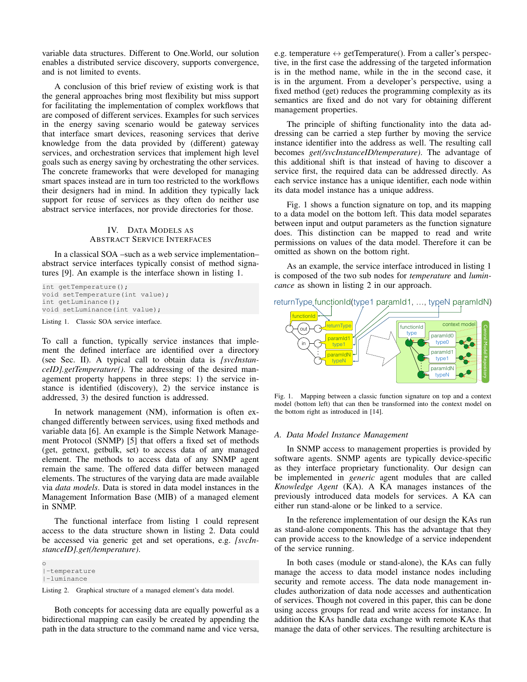variable data structures. Different to One.World, our solution enables a distributed service discovery, supports convergence, and is not limited to events.

A conclusion of this brief review of existing work is that the general approaches bring most flexibility but miss support for facilitating the implementation of complex workflows that are composed of different services. Examples for such services in the energy saving scenario would be gateway services that interface smart devices, reasoning services that derive knowledge from the data provided by (different) gateway services, and orchestration services that implement high level goals such as energy saving by orchestrating the other services. The concrete frameworks that were developed for managing smart spaces instead are in turn too restricted to the workflows their designers had in mind. In addition they typically lack support for reuse of services as they often do neither use abstract service interfaces, nor provide directories for those.

## IV. DATA MODELS AS ABSTRACT SERVICE INTERFACES

In a classical SOA –such as a web service implementation– abstract service interfaces typically consist of method signatures [9]. An example is the interface shown in listing 1.

```
int getTemperature();
void setTemperature(int value);
int getLuminance();
void setLuminance(int value);
```
Listing 1. Classic SOA service interface.

To call a function, typically service instances that implement the defined interface are identified over a directory (see Sec. II). A typical call to obtain data is *[svcInstanceID].getTemperature()*. The addressing of the desired management property happens in three steps: 1) the service instance is identified (discovery), 2) the service instance is addressed, 3) the desired function is addressed.

In network management (NM), information is often exchanged differently between services, using fixed methods and variable data [6]. An example is the Simple Network Management Protocol (SNMP) [5] that offers a fixed set of methods (get, getnext, getbulk, set) to access data of any managed element. The methods to access data of any SNMP agent remain the same. The offered data differ between managed elements. The structures of the varying data are made available via *data models*. Data is stored in data model instances in the Management Information Base (MIB) of a managed element in SNMP.

The functional interface from listing 1 could represent access to the data structure shown in listing 2. Data could be accessed via generic get and set operations, e.g. *[svcInstanceID].get(/temperature)*.

o

Listing 2. Graphical structure of a managed element's data model.

Both concepts for accessing data are equally powerful as a bidirectional mapping can easily be created by appending the path in the data structure to the command name and vice versa, e.g. temperature  $\leftrightarrow$  getTemperature(). From a caller's perspective, in the first case the addressing of the targeted information is in the method name, while in the in the second case, it is in the argument. From a developer's perspective, using a fixed method (get) reduces the programming complexity as its semantics are fixed and do not vary for obtaining different management properties.

The principle of shifting functionality into the data addressing can be carried a step further by moving the service instance identifier into the address as well. The resulting call becomes *get(/svcInstanceID/temperature)*. The advantage of this additional shift is that instead of having to discover a service first, the required data can be addressed directly. As each service instance has a unique identifier, each node within its data model instance has a unique address.

Fig. 1 shows a function signature on top, and its mapping to a data model on the bottom left. This data model separates between input and output parameters as the function signature does. This distinction can be mapped to read and write permissions on values of the data model. Therefore it can be omitted as shown on the bottom right.

As an example, the service interface introduced in listing 1 is composed of the two sub nodes for *temperature* and *lumincance* as shown in listing 2 in our approach.



Fig. 1. Mapping between a classic function signature on top and a context model (bottom left) that can then be transformed into the context model on the bottom right as introduced in [14].

## *A. Data Model Instance Management*

In SNMP access to management properties is provided by software agents. SNMP agents are typically device-specific as they interface proprietary functionality. Our design can be implemented in *generic* agent modules that are called *Knowledge Agent* (KA). A KA manages instances of the previously introduced data models for services. A KA can either run stand-alone or be linked to a service.

In the reference implementation of our design the KAs run as stand-alone components. This has the advantage that they can provide access to the knowledge of a service independent of the service running.

In both cases (module or stand-alone), the KAs can fully manage the access to data model instance nodes including security and remote access. The data node management includes authorization of data node accesses and authentication of services. Though not covered in this paper, this can be done using access groups for read and write access for instance. In addition the KAs handle data exchange with remote KAs that manage the data of other services. The resulting architecture is

<sup>|-</sup>temperature |-luminance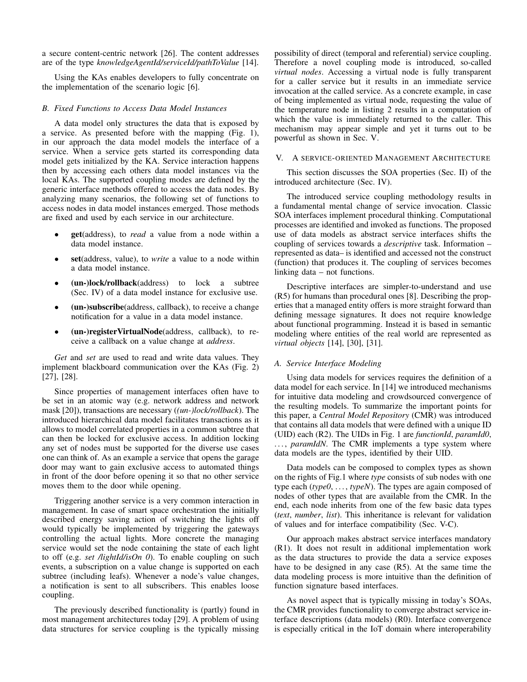a secure content-centric network [26]. The content addresses are of the type *knowledgeAgentId/serviceId/pathToValue* [14].

Using the KAs enables developers to fully concentrate on the implementation of the scenario logic [6].

## *B. Fixed Functions to Access Data Model Instances*

A data model only structures the data that is exposed by a service. As presented before with the mapping (Fig. 1), in our approach the data model models the interface of a service. When a service gets started its corresponding data model gets initialized by the KA. Service interaction happens then by accessing each others data model instances via the local KAs. The supported coupling modes are defined by the generic interface methods offered to access the data nodes. By analyzing many scenarios, the following set of functions to access nodes in data model instances emerged. Those methods are fixed and used by each service in our architecture.

- get(address), to *read* a value from a node within a data model instance.
- set(address, value), to *write* a value to a node within a data model instance.
- (un-)lock/rollback(address) to lock a subtree (Sec. IV) of a data model instance for exclusive use.
- (un-)subscribe(address, callback), to receive a change notification for a value in a data model instance.
- (un-)registerVirtualNode(address, callback), to receive a callback on a value change at *address*.

*Get* and *set* are used to read and write data values. They implement blackboard communication over the KAs (Fig. 2) [27], [28].

Since properties of management interfaces often have to be set in an atomic way (e.g. network address and network mask [20]), transactions are necessary (*(un-)lock/rollback*). The introduced hierarchical data model facilitates transactions as it allows to model correlated properties in a common subtree that can then be locked for exclusive access. In addition locking any set of nodes must be supported for the diverse use cases one can think of. As an example a service that opens the garage door may want to gain exclusive access to automated things in front of the door before opening it so that no other service moves them to the door while opening.

Triggering another service is a very common interaction in management. In case of smart space orchestration the initially described energy saving action of switching the lights off would typically be implemented by triggering the gateways controlling the actual lights. More concrete the managing service would set the node containing the state of each light to off (e.g. *set /lightId/isOn 0*). To enable coupling on such events, a subscription on a value change is supported on each subtree (including leafs). Whenever a node's value changes, a notification is sent to all subscribers. This enables loose coupling.

The previously described functionality is (partly) found in most management architectures today [29]. A problem of using data structures for service coupling is the typically missing possibility of direct (temporal and referential) service coupling. Therefore a novel coupling mode is introduced, so-called *virtual nodes*. Accessing a virtual node is fully transparent for a caller service but it results in an immediate service invocation at the called service. As a concrete example, in case of being implemented as virtual node, requesting the value of the temperature node in listing 2 results in a computation of which the value is immediately returned to the caller. This mechanism may appear simple and yet it turns out to be powerful as shown in Sec. V.

#### V. A SERVICE-ORIENTED MANAGEMENT ARCHITECTURE

This section discusses the SOA properties (Sec. II) of the introduced architecture (Sec. IV).

The introduced service coupling methodology results in a fundamental mental change of service invocation. Classic SOA interfaces implement procedural thinking. Computational processes are identified and invoked as functions. The proposed use of data models as abstract service interfaces shifts the coupling of services towards a *descriptive* task. Information – represented as data– is identified and accessed not the construct (function) that produces it. The coupling of services becomes linking data – not functions.

Descriptive interfaces are simpler-to-understand and use (R5) for humans than procedural ones [8]. Describing the properties that a managed entity offers is more straight forward than defining message signatures. It does not require knowledge about functional programming. Instead it is based in semantic modeling where entities of the real world are represented as *virtual objects* [14], [30], [31].

## *A. Service Interface Modeling*

Using data models for services requires the definition of a data model for each service. In [14] we introduced mechanisms for intuitive data modeling and crowdsourced convergence of the resulting models. To summarize the important points for this paper, a *Central Model Repository* (CMR) was introduced that contains all data models that were defined with a unique ID (UID) each (R2). The UIDs in Fig. 1 are *functionId*, *paramId0*, ..., *paramIdN*. The CMR implements a type system where data models are the types, identified by their UID.

Data models can be composed to complex types as shown on the rights of Fig.1 where *type* consists of sub nodes with one type each (*type0*, ..., *typeN*). The types are again composed of nodes of other types that are available from the CMR. In the end, each node inherits from one of the few basic data types (*text*, *number*, *list*). This inheritance is relevant for validation of values and for interface compatibility (Sec. V-C).

Our approach makes abstract service interfaces mandatory (R1). It does not result in additional implementation work as the data structures to provide the data a service exposes have to be designed in any case (R5). At the same time the data modeling process is more intuitive than the definition of function signature based interfaces.

As novel aspect that is typically missing in today's SOAs, the CMR provides functionality to converge abstract service interface descriptions (data models) (R0). Interface convergence is especially critical in the IoT domain where interoperability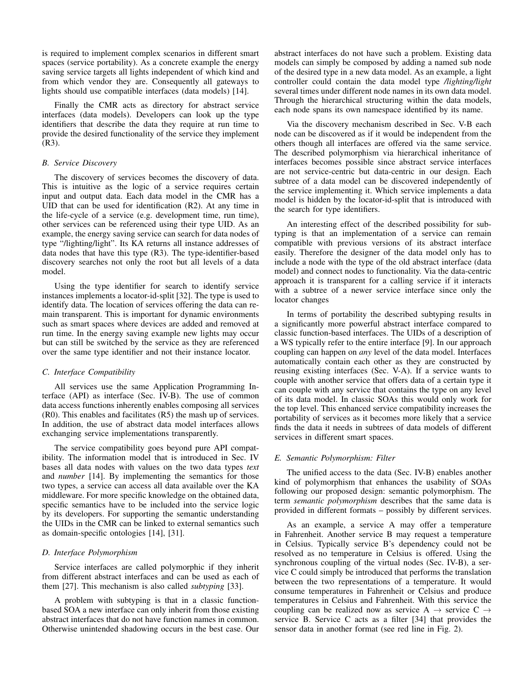is required to implement complex scenarios in different smart spaces (service portability). As a concrete example the energy saving service targets all lights independent of which kind and from which vendor they are. Consequently all gateways to lights should use compatible interfaces (data models) [14].

Finally the CMR acts as directory for abstract service interfaces (data models). Developers can look up the type identifiers that describe the data they require at run time to provide the desired functionality of the service they implement (R3).

## *B. Service Discovery*

The discovery of services becomes the discovery of data. This is intuitive as the logic of a service requires certain input and output data. Each data model in the CMR has a UID that can be used for identification (R2). At any time in the life-cycle of a service (e.g. development time, run time), other services can be referenced using their type UID. As an example, the energy saving service can search for data nodes of type "/lighting/light". Its KA returns all instance addresses of data nodes that have this type (R3). The type-identifier-based discovery searches not only the root but all levels of a data model.

Using the type identifier for search to identify service instances implements a locator-id-split [32]. The type is used to identify data. The location of services offering the data can remain transparent. This is important for dynamic environments such as smart spaces where devices are added and removed at run time. In the energy saving example new lights may occur but can still be switched by the service as they are referenced over the same type identifier and not their instance locator.

# *C. Interface Compatibility*

All services use the same Application Programming Interface (API) as interface (Sec. IV-B). The use of common data access functions inherently enables composing all services (R0). This enables and facilitates (R5) the mash up of services. In addition, the use of abstract data model interfaces allows exchanging service implementations transparently.

The service compatibility goes beyond pure API compatibility. The information model that is introduced in Sec. IV bases all data nodes with values on the two data types *text* and *number* [14]. By implementing the semantics for those two types, a service can access all data available over the KA middleware. For more specific knowledge on the obtained data, specific semantics have to be included into the service logic by its developers. For supporting the semantic understanding the UIDs in the CMR can be linked to external semantics such as domain-specific ontologies [14], [31].

# *D. Interface Polymorphism*

Service interfaces are called polymorphic if they inherit from different abstract interfaces and can be used as each of them [27]. This mechanism is also called *subtyping* [33].

A problem with subtyping is that in a classic functionbased SOA a new interface can only inherit from those existing abstract interfaces that do not have function names in common. Otherwise unintended shadowing occurs in the best case. Our abstract interfaces do not have such a problem. Existing data models can simply be composed by adding a named sub node of the desired type in a new data model. As an example, a light controller could contain the data model type */lighting/light* several times under different node names in its own data model. Through the hierarchical structuring within the data models, each node spans its own namespace identified by its name.

Via the discovery mechanism described in Sec. V-B each node can be discovered as if it would be independent from the others though all interfaces are offered via the same service. The described polymorphism via hierarchical inheritance of interfaces becomes possible since abstract service interfaces are not service-centric but data-centric in our design. Each subtree of a data model can be discovered independently of the service implementing it. Which service implements a data model is hidden by the locator-id-split that is introduced with the search for type identifiers.

An interesting effect of the described possibility for subtyping is that an implementation of a service can remain compatible with previous versions of its abstract interface easily. Therefore the designer of the data model only has to include a node with the type of the old abstract interface (data model) and connect nodes to functionality. Via the data-centric approach it is transparent for a calling service if it interacts with a subtree of a newer service interface since only the locator changes

In terms of portability the described subtyping results in a significantly more powerful abstract interface compared to classic function-based interfaces. The UIDs of a description of a WS typically refer to the entire interface [9]. In our approach coupling can happen on *any* level of the data model. Interfaces automatically contain each other as they are constructed by reusing existing interfaces (Sec. V-A). If a service wants to couple with another service that offers data of a certain type it can couple with any service that contains the type on any level of its data model. In classic SOAs this would only work for the top level. This enhanced service compatibility increases the portability of services as it becomes more likely that a service finds the data it needs in subtrees of data models of different services in different smart spaces.

## *E. Semantic Polymorphism: Filter*

The unified access to the data (Sec. IV-B) enables another kind of polymorphism that enhances the usability of SOAs following our proposed design: semantic polymorphism. The term *semantic polymorphism* describes that the same data is provided in different formats – possibly by different services.

As an example, a service A may offer a temperature in Fahrenheit. Another service B may request a temperature in Celsius. Typically service B's dependency could not be resolved as no temperature in Celsius is offered. Using the synchronous coupling of the virtual nodes (Sec. IV-B), a service C could simply be introduced that performs the translation between the two representations of a temperature. It would consume temperatures in Fahrenheit or Celsius and produce temperatures in Celsius and Fahrenheit. With this service the coupling can be realized now as service A  $\rightarrow$  service C  $\rightarrow$ service B. Service C acts as a filter [34] that provides the sensor data in another format (see red line in Fig. 2).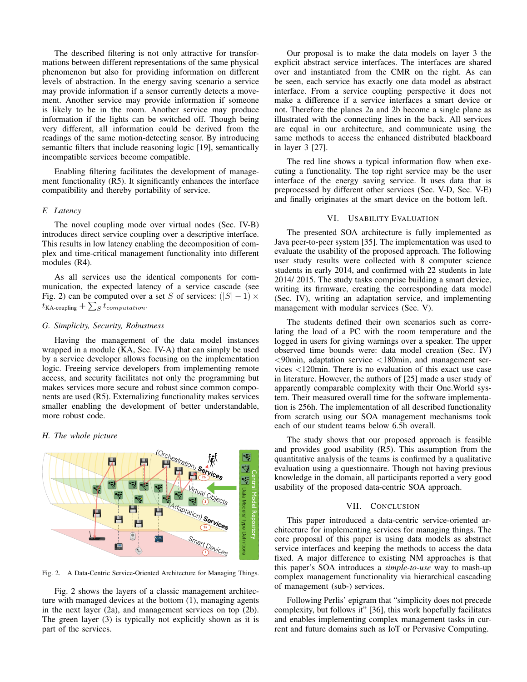The described filtering is not only attractive for transformations between different representations of the same physical phenomenon but also for providing information on different levels of abstraction. In the energy saving scenario a service may provide information if a sensor currently detects a movement. Another service may provide information if someone is likely to be in the room. Another service may produce information if the lights can be switched off. Though being very different, all information could be derived from the readings of the same motion-detecting sensor. By introducing semantic filters that include reasoning logic [19], semantically incompatible services become compatible.

Enabling filtering facilitates the development of management functionality (R5). It significantly enhances the interface compatibility and thereby portability of service.

### *F. Latency*

The novel coupling mode over virtual nodes (Sec. IV-B) introduces direct service coupling over a descriptive interface. This results in low latency enabling the decomposition of complex and time-critical management functionality into different modules (R4).

As all services use the identical components for communication, the expected latency of a service cascade (see Fig. 2) can be computed over a set S of services:  $(|S| - 1) \times$  $t_{\text{KA-coupling}} + \sum_{S} t_{computation}.$ 

## *G. Simplicity, Security, Robustness*

Having the management of the data model instances wrapped in a module (KA, Sec. IV-A) that can simply be used by a service developer allows focusing on the implementation logic. Freeing service developers from implementing remote access, and security facilitates not only the programming but makes services more secure and robust since common components are used (R5). Externalizing functionality makes services smaller enabling the development of better understandable, more robust code.

## *H. The whole picture*



Fig. 2. A Data-Centric Service-Oriented Architecture for Managing Things.

Fig. 2 shows the layers of a classic management architecture with managed devices at the bottom (1), managing agents in the next layer (2a), and management services on top (2b). The green layer (3) is typically not explicitly shown as it is part of the services.

Our proposal is to make the data models on layer 3 the explicit abstract service interfaces. The interfaces are shared over and instantiated from the CMR on the right. As can be seen, each service has exactly one data model as abstract interface. From a service coupling perspective it does not make a difference if a service interfaces a smart device or not. Therefore the planes 2a and 2b become a single plane as illustrated with the connecting lines in the back. All services are equal in our architecture, and communicate using the same methods to access the enhanced distributed blackboard in layer 3 [27].

The red line shows a typical information flow when executing a functionality. The top right service may be the user interface of the energy saving service. It uses data that is preprocessed by different other services (Sec. V-D, Sec. V-E) and finally originates at the smart device on the bottom left.

## VI. USABILITY EVALUATION

The presented SOA architecture is fully implemented as Java peer-to-peer system [35]. The implementation was used to evaluate the usability of the proposed approach. The following user study results were collected with 8 computer science students in early 2014, and confirmed with 22 students in late 2014/ 2015. The study tasks comprise building a smart device, writing its firmware, creating the corresponding data model (Sec. IV), writing an adaptation service, and implementing management with modular services (Sec. V).

The students defined their own scenarios such as correlating the load of a PC with the room temperature and the logged in users for giving warnings over a speaker. The upper observed time bounds were: data model creation (Sec. IV) <90min, adaptation service <180min, and management services <120min. There is no evaluation of this exact use case in literature. However, the authors of [25] made a user study of apparently comparable complexity with their One.World system. Their measured overall time for the software implementation is 256h. The implementation of all described functionality from scratch using our SOA management mechanisms took each of our student teams below 6.5h overall.

The study shows that our proposed approach is feasible and provides good usability (R5). This assumption from the quantitative analysis of the teams is confirmed by a qualitative evaluation using a questionnaire. Though not having previous knowledge in the domain, all participants reported a very good usability of the proposed data-centric SOA approach.

### VII. CONCLUSION

This paper introduced a data-centric service-oriented architecture for implementing services for managing things. The core proposal of this paper is using data models as abstract service interfaces and keeping the methods to access the data fixed. A major difference to existing NM approaches is that this paper's SOA introduces a *simple-to-use* way to mash-up complex management functionality via hierarchical cascading of management (sub-) services.

Following Perlis' epigram that "simplicity does not precede complexity, but follows it" [36], this work hopefully facilitates and enables implementing complex management tasks in current and future domains such as IoT or Pervasive Computing.